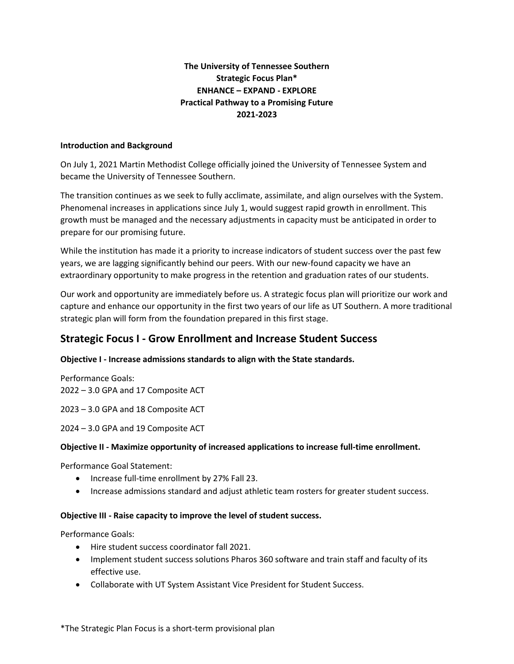# **The University of Tennessee Southern Strategic Focus Plan\* ENHANCE – EXPAND - EXPLORE Practical Pathway to a Promising Future 2021-2023**

#### **Introduction and Background**

On July 1, 2021 Martin Methodist College officially joined the University of Tennessee System and became the University of Tennessee Southern.

The transition continues as we seek to fully acclimate, assimilate, and align ourselves with the System. Phenomenal increases in applications since July 1, would suggest rapid growth in enrollment. This growth must be managed and the necessary adjustments in capacity must be anticipated in order to prepare for our promising future.

While the institution has made it a priority to increase indicators of student success over the past few years, we are lagging significantly behind our peers. With our new-found capacity we have an extraordinary opportunity to make progress in the retention and graduation rates of our students.

Our work and opportunity are immediately before us. A strategic focus plan will prioritize our work and capture and enhance our opportunity in the first two years of our life as UT Southern. A more traditional strategic plan will form from the foundation prepared in this first stage.

# **Strategic Focus I - Grow Enrollment and Increase Student Success**

#### **Objective I - Increase admissions standards to align with the State standards.**

Performance Goals: 2022 – 3.0 GPA and 17 Composite ACT

2023 – 3.0 GPA and 18 Composite ACT

2024 – 3.0 GPA and 19 Composite ACT

#### **Objective II - Maximize opportunity of increased applications to increase full-time enrollment.**

Performance Goal Statement:

- Increase full-time enrollment by 27% Fall 23.
- Increase admissions standard and adjust athletic team rosters for greater student success.

#### **Objective III - Raise capacity to improve the level of student success.**

Performance Goals:

- Hire student success coordinator fall 2021.
- Implement student success solutions Pharos 360 software and train staff and faculty of its effective use.
- Collaborate with UT System Assistant Vice President for Student Success.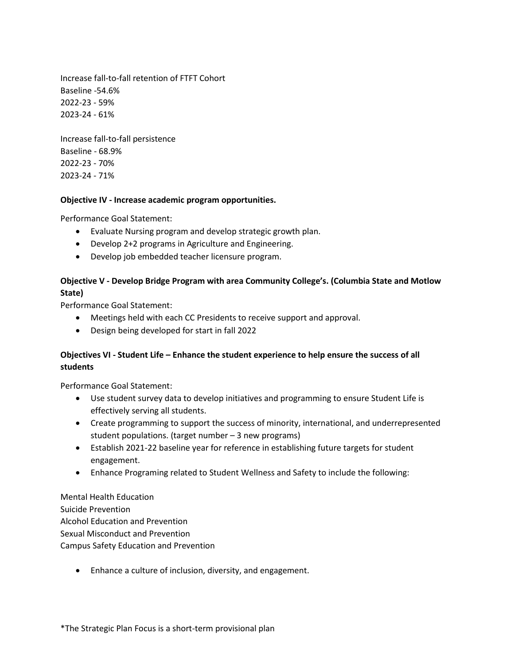Increase fall-to-fall retention of FTFT Cohort Baseline -54.6% 2022-23 - 59% 2023-24 - 61%

Increase fall-to-fall persistence Baseline - 68.9% 2022-23 - 70% 2023-24 - 71%

#### **Objective IV - Increase academic program opportunities.**

Performance Goal Statement:

- Evaluate Nursing program and develop strategic growth plan.
- Develop 2+2 programs in Agriculture and Engineering.
- Develop job embedded teacher licensure program.

# **Objective V - Develop Bridge Program with area Community College's. (Columbia State and Motlow State)**

Performance Goal Statement:

- Meetings held with each CC Presidents to receive support and approval.
- Design being developed for start in fall 2022

## **Objectives VI - Student Life – Enhance the student experience to help ensure the success of all students**

Performance Goal Statement:

- Use student survey data to develop initiatives and programming to ensure Student Life is effectively serving all students.
- Create programming to support the success of minority, international, and underrepresented student populations. (target number – 3 new programs)
- Establish 2021-22 baseline year for reference in establishing future targets for student engagement.
- Enhance Programing related to Student Wellness and Safety to include the following:

Mental Health Education Suicide Prevention Alcohol Education and Prevention Sexual Misconduct and Prevention Campus Safety Education and Prevention

• Enhance a culture of inclusion, diversity, and engagement.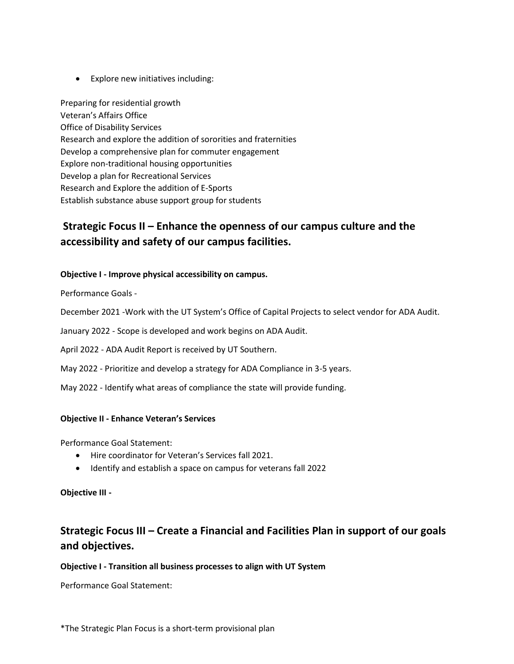• Explore new initiatives including:

Preparing for residential growth Veteran's Affairs Office Office of Disability Services Research and explore the addition of sororities and fraternities Develop a comprehensive plan for commuter engagement Explore non-traditional housing opportunities Develop a plan for Recreational Services Research and Explore the addition of E-Sports Establish substance abuse support group for students

# **Strategic Focus II – Enhance the openness of our campus culture and the accessibility and safety of our campus facilities.**

#### **Objective I - Improve physical accessibility on campus.**

Performance Goals -

December 2021 -Work with the UT System's Office of Capital Projects to select vendor for ADA Audit.

January 2022 - Scope is developed and work begins on ADA Audit.

April 2022 - ADA Audit Report is received by UT Southern.

May 2022 - Prioritize and develop a strategy for ADA Compliance in 3-5 years.

May 2022 - Identify what areas of compliance the state will provide funding.

#### **Objective II - Enhance Veteran's Services**

Performance Goal Statement:

- Hire coordinator for Veteran's Services fall 2021.
- Identify and establish a space on campus for veterans fall 2022

#### **Objective III -**

# **Strategic Focus III – Create a Financial and Facilities Plan in support of our goals and objectives.**

#### **Objective I - Transition all business processes to align with UT System**

Performance Goal Statement: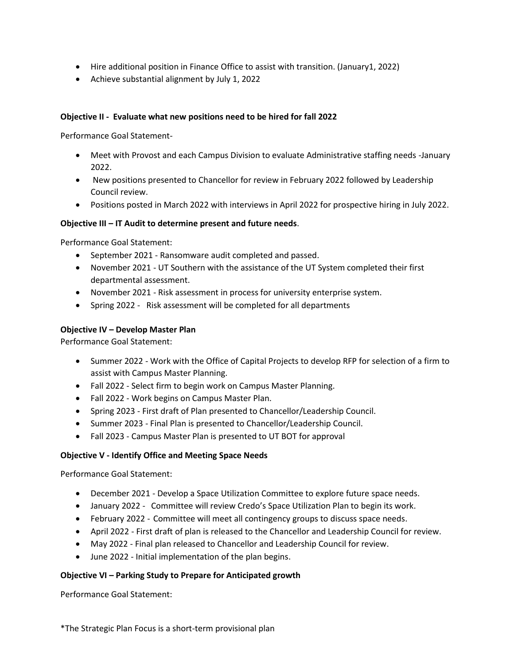- Hire additional position in Finance Office to assist with transition. (January1, 2022)
- Achieve substantial alignment by July 1, 2022

## **Objective II - Evaluate what new positions need to be hired for fall 2022**

Performance Goal Statement-

- Meet with Provost and each Campus Division to evaluate Administrative staffing needs -January 2022.
- New positions presented to Chancellor for review in February 2022 followed by Leadership Council review.
- Positions posted in March 2022 with interviews in April 2022 for prospective hiring in July 2022.

#### **Objective III – IT Audit to determine present and future needs**.

Performance Goal Statement:

- September 2021 Ransomware audit completed and passed.
- November 2021 UT Southern with the assistance of the UT System completed their first departmental assessment.
- November 2021 Risk assessment in process for university enterprise system.
- Spring 2022 Risk assessment will be completed for all departments

# **Objective IV – Develop Master Plan**

Performance Goal Statement:

- Summer 2022 Work with the Office of Capital Projects to develop RFP for selection of a firm to assist with Campus Master Planning.
- Fall 2022 Select firm to begin work on Campus Master Planning.
- Fall 2022 Work begins on Campus Master Plan.
- Spring 2023 First draft of Plan presented to Chancellor/Leadership Council.
- Summer 2023 Final Plan is presented to Chancellor/Leadership Council.
- Fall 2023 Campus Master Plan is presented to UT BOT for approval

#### **Objective V - Identify Office and Meeting Space Needs**

Performance Goal Statement:

- December 2021 Develop a Space Utilization Committee to explore future space needs.
- January 2022 Committee will review Credo's Space Utilization Plan to begin its work.
- February 2022 Committee will meet all contingency groups to discuss space needs.
- April 2022 First draft of plan is released to the Chancellor and Leadership Council for review.
- May 2022 Final plan released to Chancellor and Leadership Council for review.
- June 2022 Initial implementation of the plan begins.

#### **Objective VI – Parking Study to Prepare for Anticipated growth**

Performance Goal Statement: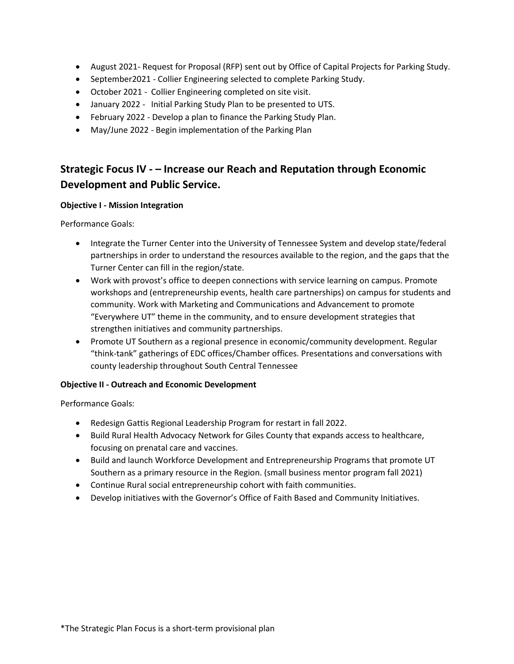- August 2021- Request for Proposal (RFP) sent out by Office of Capital Projects for Parking Study.
- September2021 Collier Engineering selected to complete Parking Study.
- October 2021 Collier Engineering completed on site visit.
- January 2022 Initial Parking Study Plan to be presented to UTS.
- February 2022 Develop a plan to finance the Parking Study Plan.
- May/June 2022 Begin implementation of the Parking Plan

# **Strategic Focus IV - – Increase our Reach and Reputation through Economic Development and Public Service.**

## **Objective I - Mission Integration**

Performance Goals:

- Integrate the Turner Center into the University of Tennessee System and develop state/federal partnerships in order to understand the resources available to the region, and the gaps that the Turner Center can fill in the region/state.
- Work with provost's office to deepen connections with service learning on campus. Promote workshops and (entrepreneurship events, health care partnerships) on campus for students and community. Work with Marketing and Communications and Advancement to promote "Everywhere UT" theme in the community, and to ensure development strategies that strengthen initiatives and community partnerships.
- Promote UT Southern as a regional presence in economic/community development. Regular "think-tank" gatherings of EDC offices/Chamber offices. Presentations and conversations with county leadership throughout South Central Tennessee

# **Objective II - Outreach and Economic Development**

Performance Goals:

- Redesign Gattis Regional Leadership Program for restart in fall 2022.
- Build Rural Health Advocacy Network for Giles County that expands access to healthcare, focusing on prenatal care and vaccines.
- Build and launch Workforce Development and Entrepreneurship Programs that promote UT Southern as a primary resource in the Region. (small business mentor program fall 2021)
- Continue Rural social entrepreneurship cohort with faith communities.
- Develop initiatives with the Governor's Office of Faith Based and Community Initiatives.